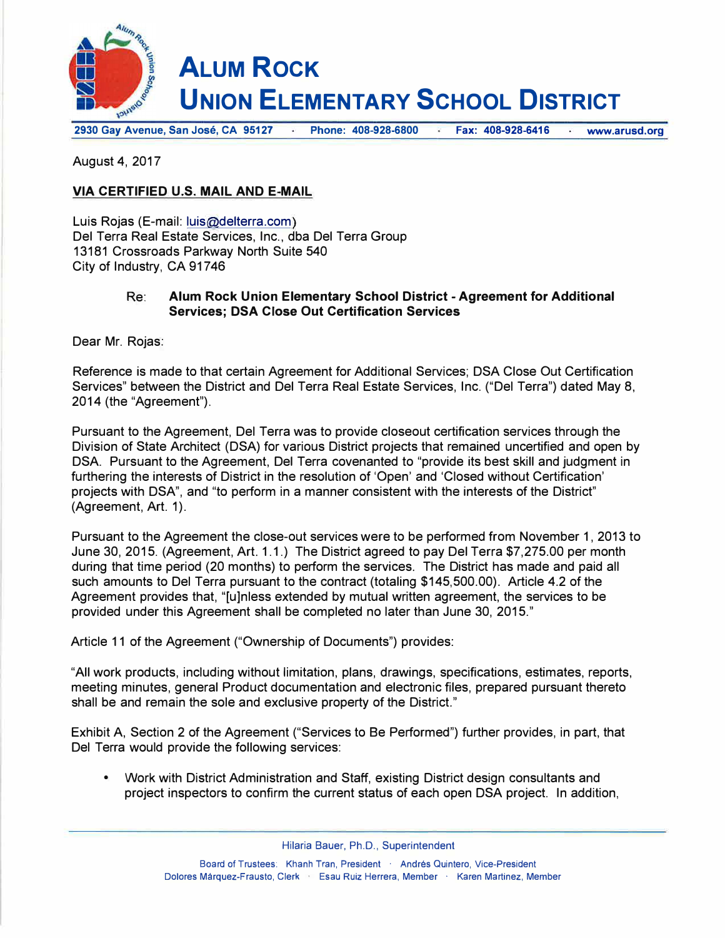

**2930 Gay Avenue, San Jose, CA 95127 Phone: 408-928-6800 Fax: 408-928-6416 www.arusd.org** 

August 4, 2017

## **VIA CERTIFIED U.S. MAIL AND E-MAIL**

Luis Rojas (E-mail: luis@delterra.com) Del Terra Real Estate Services, Inc., dba Del Terra Group 13181 Crossroads Parkway North Suite 540 City of Industry, CA 91746

## Re: **Alum Rock Union Elementary School District - Agreement for Additional Services; DSA Close Out Certification Services**

Dear Mr. Rojas:

Reference is made to that certain Agreement for Additional Services; DSA Close Out Certification Services" between the District and Del Terra Real Estate Services, Inc. ("Del Terra") dated May 8, 2014 (the "Agreement").

Pursuant to the Agreement, Del Terra was to provide closeout certification services through the Division of State Architect (DSA) for various District projects that remained uncertified and open by DSA. Pursuant to the Agreement, Del Terra covenanted to "provide its best skill and judgment in furthering the interests of District in the resolution of 'Open' and 'Closed without Certification' projects with DSA", and "to perform in a manner consistent with the interests of the District" (Agreement, Art. 1).

Pursuant to the Agreement the close-out services were to be performed from November 1, 2013 to June 30, 2015. (Agreement, Art. 1.1.) The District agreed to pay Del Terra \$7,275.00 per month during that time period (20 months) to perform the services. The District has made and paid all such amounts to Del Terra pursuant to the contract (totaling \$145,500.00). Article 4.2 of the Agreement provides that, "[u]nless extended by mutual written agreement, the services to be provided under this Agreement shall be completed no later than June 30, 2015."

Article 11 of the Agreement ("Ownership of Documents") provides:

"All work products, including without limitation, plans, drawings, specifications, estimates, reports, meeting minutes, general Product documentation and electronic files, prepared pursuant thereto shall be and remain the sole and exclusive property of the District."

Exhibit A, Section 2 of the Agreement ("Services to Be Performed") further provides, in part, that Del Terra would provide the following services:

• Work with District Administration and Staff, existing District design consultants and project inspectors to confirm the current status of each open DSA project. In addition,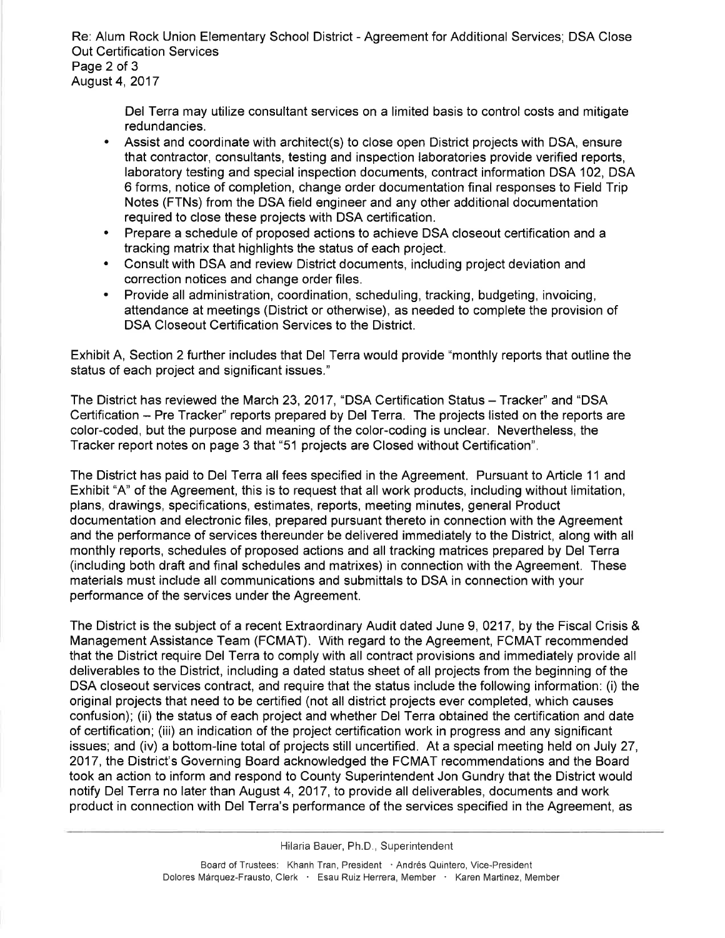Re: Alum Rock Union Elementary School District - Agreement for Additional Services; DSA Close **Out Certification Services** Page 2 of 3 August 4, 2017

Del Terra may utilize consultant services on a limited basis to control costs and mitigate redundancies.

- Assist and coordinate with architect(s) to close open District projects with DSA, ensure that contractor, consultants, testing and inspection laboratories provide verified reports, laboratory testing and special inspection documents, contract information DSA 102, DSA 6 forms, notice of completion, change order documentation final responses to Field Trip Notes (FTNs) from the DSA field engineer and any other additional documentation required to close these projects with DSA certification.
- Prepare a schedule of proposed actions to achieve DSA closeout certification and a  $\bullet$ tracking matrix that highlights the status of each project.
- Consult with DSA and review District documents, including project deviation and correction notices and change order files.
- Provide all administration, coordination, scheduling, tracking, budgeting, invoicing, attendance at meetings (District or otherwise), as needed to complete the provision of DSA Closeout Certification Services to the District.

Exhibit A, Section 2 further includes that Del Terra would provide "monthly reports that outline the status of each project and significant issues."

The District has reviewed the March 23, 2017, "DSA Certification Status - Tracker" and "DSA Certification – Pre Tracker" reports prepared by Del Terra. The projects listed on the reports are color-coded, but the purpose and meaning of the color-coding is unclear. Nevertheless, the Tracker report notes on page 3 that "51 projects are Closed without Certification".

The District has paid to Del Terra all fees specified in the Agreement. Pursuant to Article 11 and Exhibit "A" of the Agreement, this is to request that all work products, including without limitation, plans, drawings, specifications, estimates, reports, meeting minutes, general Product documentation and electronic files, prepared pursuant thereto in connection with the Agreement and the performance of services thereunder be delivered immediately to the District, along with all monthly reports, schedules of proposed actions and all tracking matrices prepared by Del Terra (including both draft and final schedules and matrixes) in connection with the Agreement. These materials must include all communications and submittals to DSA in connection with your performance of the services under the Agreement.

The District is the subject of a recent Extraordinary Audit dated June 9, 0217, by the Fiscal Crisis & Management Assistance Team (FCMAT). With regard to the Agreement, FCMAT recommended that the District require Del Terra to comply with all contract provisions and immediately provide all deliverables to the District, including a dated status sheet of all projects from the beginning of the DSA closeout services contract, and require that the status include the following information: (i) the original projects that need to be certified (not all district projects ever completed, which causes confusion); (ii) the status of each project and whether Del Terra obtained the certification and date of certification; (iii) an indication of the project certification work in progress and any significant issues; and (iv) a bottom-line total of projects still uncertified. At a special meeting held on July 27, 2017, the District's Governing Board acknowledged the FCMAT recommendations and the Board took an action to inform and respond to County Superintendent Jon Gundry that the District would notify Del Terra no later than August 4, 2017, to provide all deliverables, documents and work product in connection with Del Terra's performance of the services specified in the Agreement, as